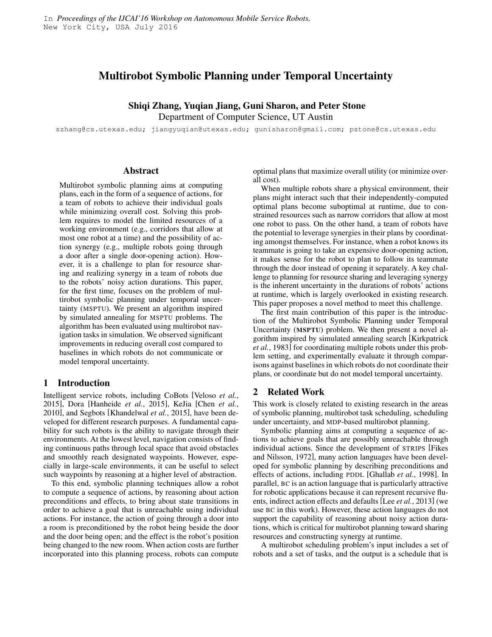# Multirobot Symbolic Planning under Temporal Uncertainty

## Shiqi Zhang, Yuqian Jiang, Guni Sharon, and Peter Stone Department of Computer Science, UT Austin

szhang@cs.utexas.edu; jiangyuqian@utexas.edu; gunisharon@gmail.com; pstone@cs.utexas.edu

#### Abstract

Multirobot symbolic planning aims at computing plans, each in the form of a sequence of actions, for a team of robots to achieve their individual goals while minimizing overall cost. Solving this problem requires to model the limited resources of a working environment (e.g., corridors that allow at most one robot at a time) and the possibility of action synergy (e.g., multiple robots going through a door after a single door-opening action). However, it is a challenge to plan for resource sharing and realizing synergy in a team of robots due to the robots' noisy action durations. This paper, for the first time, focuses on the problem of multirobot symbolic planning under temporal uncertainty (MSPTU). We present an algorithm inspired by simulated annealing for MSPTU problems. The algorithm has been evaluated using multirobot navigation tasks in simulation. We observed significant improvements in reducing overall cost compared to baselines in which robots do not communicate or model temporal uncertainty.

### 1 Introduction

Intelligent service robots, including CoBots [Veloso *et al.*, 2015], Dora [Hanheide *et al.*, 2015], KeJia [Chen *et al.*, 2010], and Segbots [Khandelwal *et al.*, 2015], have been developed for different research purposes. A fundamental capability for such robots is the ability to navigate through their environments. At the lowest level, navigation consists of finding continuous paths through local space that avoid obstacles and smoothly reach designated waypoints. However, especially in large-scale environments, it can be useful to select such waypoints by reasoning at a higher level of abstraction.

To this end, symbolic planning techniques allow a robot to compute a sequence of actions, by reasoning about action preconditions and effects, to bring about state transitions in order to achieve a goal that is unreachable using individual actions. For instance, the action of going through a door into a room is preconditioned by the robot being beside the door and the door being open; and the effect is the robot's position being changed to the new room. When action costs are further incorporated into this planning process, robots can compute optimal plans that maximize overall utility (or minimize overall cost).

When multiple robots share a physical environment, their plans might interact such that their independently-computed optimal plans become suboptimal at runtime, due to constrained resources such as narrow corridors that allow at most one robot to pass. On the other hand, a team of robots have the potential to leverage synergies in their plans by coordinating amongst themselves. For instance, when a robot knows its teammate is going to take an expensive door-opening action, it makes sense for the robot to plan to follow its teammate through the door instead of opening it separately. A key challenge to planning for resource sharing and leveraging synergy is the inherent uncertainty in the durations of robots' actions at runtime, which is largely overlooked in existing research. This paper proposes a novel method to meet this challenge.

The first main contribution of this paper is the introduction of the Multirobot Symbolic Planning under Temporal Uncertainty (MSPTU) problem. We then present a novel algorithm inspired by simulated annealing search [Kirkpatrick *et al.*, 1983] for coordinating multiple robots under this problem setting, and experimentally evaluate it through comparisons against baselines in which robots do not coordinate their plans, or coordinate but do not model temporal uncertainty.

### 2 Related Work

This work is closely related to existing research in the areas of symbolic planning, multirobot task scheduling, scheduling under uncertainty, and MDP-based multirobot planning.

Symbolic planning aims at computing a sequence of actions to achieve goals that are possibly unreachable through individual actions. Since the development of STRIPS [Fikes and Nilsson, 1972], many action languages have been developed for symbolic planning by describing preconditions and effects of actions, including PDDL [Ghallab *et al.*, 1998]. In parallel, BC is an action language that is particularly attractive for robotic applications because it can represent recursive fluents, indirect action effects and defaults [Lee *et al.*, 2013] (we use BC in this work). However, these action languages do not support the capability of reasoning about noisy action durations, which is critical for multirobot planning toward sharing resources and constructing synergy at runtime.

A multirobot scheduling problem's input includes a set of robots and a set of tasks, and the output is a schedule that is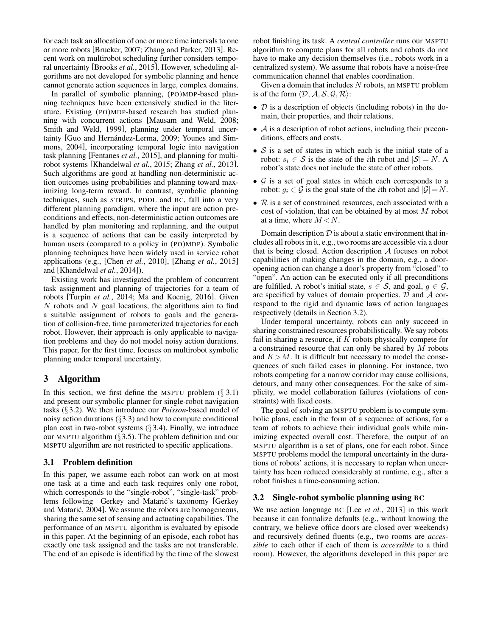for each task an allocation of one or more time intervals to one or more robots [Brucker, 2007; Zhang and Parker, 2013]. Recent work on multirobot scheduling further considers temporal uncertainty [Brooks *et al.*, 2015]. However, scheduling algorithms are not developed for symbolic planning and hence cannot generate action sequences in large, complex domains.

In parallel of symbolic planning, (PO)MDP-based planning techniques have been extensively studied in the literature. Existing (PO)MDP-based research has studied planning with concurrent actions [Mausam and Weld, 2008; Smith and Weld, 1999], planning under temporal uncertainty [Guo and Hernández-Lerma, 2009; Younes and Simmons, 2004], incorporating temporal logic into navigation task planning [Fentanes *et al.*, 2015], and planning for multirobot systems [Khandelwal *et al.*, 2015; Zhang *et al.*, 2013]. Such algorithms are good at handling non-deterministic action outcomes using probabilities and planning toward maximizing long-term reward. In contrast, symbolic planning techniques, such as STRIPS, PDDL and BC, fall into a very different planning paradigm, where the input are action preconditions and effects, non-deterministic action outcomes are handled by plan monitoring and replanning, and the output is a sequence of actions that can be easily interpreted by human users (compared to a policy in (PO)MDP). Symbolic planning techniques have been widely used in service robot applications (e.g., [Chen *et al.*, 2010], [Zhang *et al.*, 2015] and [Khandelwal *et al.*, 2014]).

Existing work has investigated the problem of concurrent task assignment and planning of trajectories for a team of robots [Turpin *et al.*, 2014; Ma and Koenig, 2016]. Given  $N$  robots and  $N$  goal locations, the algorithms aim to find a suitable assignment of robots to goals and the generation of collision-free, time parameterized trajectories for each robot. However, their approach is only applicable to navigation problems and they do not model noisy action durations. This paper, for the first time, focuses on multirobot symbolic planning under temporal uncertainty.

### 3 Algorithm

In this section, we first define the MSPTU problem  $(\S 3.1)$ and present our symbolic planner for single-robot navigation tasks (§ 3.2). We then introduce our *Poisson*-based model of noisy action durations  $(\S 3.3)$  and how to compute conditional plan cost in two-robot systems  $(\S 3.4)$ . Finally, we introduce our MSPTU algorithm  $(\S 3.5)$ . The problem definition and our MSPTU algorithm are not restricted to specific applications.

### 3.1 Problem definition

In this paper, we assume each robot can work on at most one task at a time and each task requires only one robot, which corresponds to the "single-robot", "single-task" problems following Gerkey and Matarić's taxonomy [Gerkey and Matarić, 2004]. We assume the robots are homogeneous, sharing the same set of sensing and actuating capabilities. The performance of an MSPTU algorithm is evaluated by episode in this paper. At the beginning of an episode, each robot has exactly one task assigned and the tasks are not transferable. The end of an episode is identified by the time of the slowest robot finishing its task. A *central controller* runs our MSPTU algorithm to compute plans for all robots and robots do not have to make any decision themselves (i.e., robots work in a centralized system). We assume that robots have a noise-free communication channel that enables coordination.

Given a domain that includes  $N$  robots, an MSPTU problem is of the form  $\langle \mathcal{D}, \mathcal{A}, \mathcal{S}, \mathcal{G}, \mathcal{R} \rangle$ :

- $\mathcal D$  is a description of objects (including robots) in the domain, their properties, and their relations.
- $\bullet$   $\mathcal A$  is a description of robot actions, including their preconditions, effects and costs.
- $S$  is a set of states in which each is the initial state of a robot:  $s_i \in S$  is the state of the *i*th robot and  $|S| = N$ . A robot's state does not include the state of other robots.
- $G$  is a set of goal states in which each corresponds to a robot:  $g_i \in \mathcal{G}$  is the goal state of the *i*th robot and  $|\mathcal{G}| = N$ .
- $R$  is a set of constrained resources, each associated with a cost of violation, that can be obtained by at most M robot at a time, where  $M < N$ .

Domain description  $D$  is about a static environment that includes all robots in it, e.g., two rooms are accessible via a door that is being closed. Action description A focuses on robot capabilities of making changes in the domain, e.g., a dooropening action can change a door's property from "closed" to "open". An action can be executed only if all preconditions are fulfilled. A robot's initial state,  $s \in S$ , and goal,  $q \in \mathcal{G}$ , are specified by values of domain properties.  $D$  and  $A$  correspond to the rigid and dynamic laws of action languages respectively (details in Section 3.2).

Under temporal uncertainty, robots can only succeed in sharing constrained resources probabilistically. We say robots fail in sharing a resource, if  $K$  robots physically compete for a constrained resource that can only be shared by M robots and  $K > M$ . It is difficult but necessary to model the consequences of such failed cases in planning. For instance, two robots competing for a narrow corridor may cause collisions, detours, and many other consequences. For the sake of simplicity, we model collaboration failures (violations of constraints) with fixed costs.

The goal of solving an MSPTU problem is to compute symbolic plans, each in the form of a sequence of actions, for a team of robots to achieve their individual goals while minimizing expected overall cost. Therefore, the output of an MSPTU algorithm is a set of plans, one for each robot. Since MSPTU problems model the temporal uncertainty in the durations of robots' actions, it is necessary to replan when uncertainty has been reduced considerably at runtime, e.g., after a robot finishes a time-consuming action.

### 3.2 Single-robot symbolic planning using BC

We use action language BC [Lee *et al.*, 2013] in this work because it can formalize defaults (e.g., without knowing the contrary, we believe office doors are closed over weekends) and recursively defined fluents (e.g., two rooms are *accessible* to each other if each of them is *accessible* to a third room). However, the algorithms developed in this paper are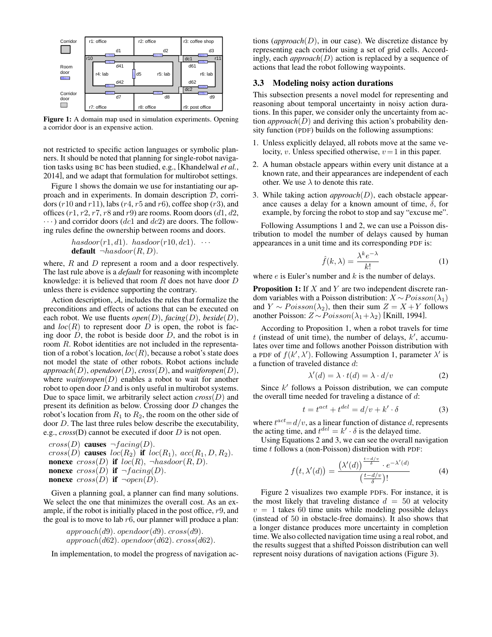

Figure 1: A domain map used in simulation experiments. Opening a corridor door is an expensive action.

not restricted to specific action languages or symbolic planners. It should be noted that planning for single-robot navigation tasks using BC has been studied, e.g., [Khandelwal *et al.*, 2014], and we adapt that formulation for multirobot settings.

Figure 1 shows the domain we use for instantiating our approach and in experiments. In domain description D, corridors ( $r10$  and  $r11$ ), labs ( $r4$ ,  $r5$  and  $r6$ ), coffee shop ( $r3$ ), and offices  $(r1, r2, r7, r8$  and  $r9)$  are rooms. Room doors  $(d1, d2, r7, r8)$  $\cdots$ ) and corridor doors (dc1 and dc2) are doors. The following rules define the ownership between rooms and doors.

hasdoor(r1, d1). hasdoor(r10, d1). 
$$
\cdots
$$
  
default  $\neg hasdoor(R, D)$ .

where, R and D represent a room and a door respectively. The last rule above is a *default* for reasoning with incomplete knowledge: it is believed that room  $R$  does not have door  $D$ unless there is evidence supporting the contrary.

Action description, A, includes the rules that formalize the preconditions and effects of actions that can be executed on each robot. We use fluents *open*(D), *facing*(D), *beside*(D), and  $loc(R)$  to represent door D is open, the robot is facing door  $D$ , the robot is beside door  $D$ , and the robot is in room R. Robot identities are not included in the representation of a robot's location,  $loc(R)$ , because a robot's state does not model the state of other robots. Robot actions include  $approach(D)$ ,  $opendoor(D)$ ,  $cross(D)$ , and  $waitforopen(D)$ , where *waitforopen*( $D$ ) enables a robot to wait for another robot to open door D and is only useful in multirobot systems. Due to space limit, we arbitrarily select action  $\text{cross}(D)$  and present its definition as below. Crossing door D changes the robot's location from  $R_1$  to  $R_2$ , the room on the other side of door D. The last three rules below describe the executability, e.g., *cross*(D) cannot be executed if door D is not open.

$$
cross(D)
$$
 causes  $\neg facing(D)$ .  
\n $cross(D)$  causes  $loc(R_2)$  if  $loc(R_1)$ ,  $acc(R_1, D, R_2)$ .  
\n**nonexe**  $cross(D)$  if  $loc(R)$ ,  $\neg hasdoor(R, D)$ .  
\n**nonexe**  $cross(D)$  if  $\neg facing(D)$ .  
\n**nonexe**  $cross(D)$  if  $\neg open(D)$ .

Given a planning goal, a planner can find many solutions. We select the one that minimizes the overall cost. As an example, if the robot is initially placed in the post office, r9, and the goal is to move to lab  $r6$ , our planner will produce a plan:

$$
approach(d9). \ open door(d9). \ cross(d9).\\ approach(d62). \ open door(d62). \ cross(d62).
$$

In implementation, to model the progress of navigation ac-

tions  $\langle$ *approach* $(D)$ , in our case). We discretize distance by representing each corridor using a set of grid cells. Accordingly, each *approach*(D) action is replaced by a sequence of actions that lead the robot following waypoints.

### 3.3 Modeling noisy action durations

This subsection presents a novel model for representing and reasoning about temporal uncertainty in noisy action durations. In this paper, we consider only the uncertainty from action *approach*(D) and deriving this action's probability density function (PDF) builds on the following assumptions:

- 1. Unless explicitly delayed, all robots move at the same velocity, v. Unless specified otherwise,  $v=1$  in this paper.
- 2. A human obstacle appears within every unit distance at a known rate, and their appearances are independent of each other. We use  $\lambda$  to denote this rate.
- 3. While taking action *approach*(D), each obstacle appearance causes a delay for a known amount of time,  $\delta$ , for example, by forcing the robot to stop and say "excuse me".

Following Assumptions 1 and 2, we can use a Poisson distribution to model the number of delays caused by human appearances in a unit time and its corresponding PDF is:

$$
\hat{f}(k,\lambda) = \frac{\lambda^k e^{-\lambda}}{k!}
$$
 (1)

where  $e$  is Euler's number and  $k$  is the number of delays.

**Proposition 1:** If  $X$  and  $Y$  are two independent discrete random variables with a Poisson distribution:  $X \sim Poisson(\lambda_1)$ and  $Y \sim Poisson(\lambda_2)$ , then their sum  $Z = X + Y$  follows another Poisson:  $Z \sim Poisson(\lambda_1 + \lambda_2)$  [Knill, 1994].

According to Proposition 1, when a robot travels for time  $t$  (instead of unit time), the number of delays,  $k'$ , accumulates over time and follows another Poisson distribution with a PDF of  $f(k', \lambda')$ . Following Assumption 1, parameter  $\lambda'$  is a function of traveled distance d:

$$
\lambda'(d) = \lambda \cdot t(d) = \lambda \cdot d/v \tag{2}
$$

Since  $k'$  follows a Poisson distribution, we can compute the overall time needed for traveling a distance of  $d$ :

$$
t = t^{act} + t^{del} = d/v + k' \cdot \delta \tag{3}
$$

where  $t^{act} = d/v$ , as a linear function of distance d, represents the acting time, and  $t^{del} = k' \cdot \delta$  is the delayed time.

Using Equations 2 and 3, we can see the overall navigation time  $t$  follows a (non-Poisson) distribution with PDF:

$$
f(t, \lambda'(d)) = \frac{(\lambda'(d))^{\frac{t - d/v}{\delta}} \cdot e^{-\lambda'(d)}}{\left(\frac{t - d/v}{\delta}\right)!}
$$
(4)

Figure 2 visualizes two example PDFs. For instance, it is the most likely that traveling distance  $d = 50$  at velocity  $v = 1$  takes 60 time units while modeling possible delays (instead of 50 in obstacle-free domains). It also shows that a longer distance produces more uncertainty in completion time. We also collected navigation time using a real robot, and the results suggest that a shifted Poisson distribution can well represent noisy durations of navigation actions (Figure 3).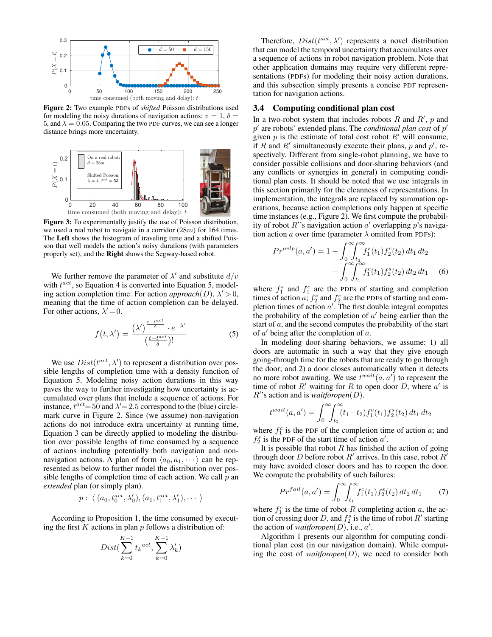

Figure 2: Two example PDFs of *shifted* Poisson distributions used for modeling the noisy durations of navigation actions:  $v = 1$ ,  $\delta =$ 5, and  $\lambda = 0.05$ . Comparing the two PDF curves, we can see a longer distance brings more uncertainty.



Figure 3: To experimentally justify the use of Poisson distribution, we used a real robot to navigate in a corridor (28m) for 164 times. The Left shows the histogram of traveling time and a shifted Poisson that well models the action's noisy durations (with parameters properly set), and the Right shows the Segway-based robot.

We further remove the parameter of  $\lambda'$  and substitute  $d/v$ with  $t^{act}$ , so Equation 4 is converted into Equation 5, modeling action completion time. For action  $approach(D)$ ,  $\lambda' > 0$ , meaning that the time of action completion can be delayed. For other actions,  $\lambda' = 0$ .

$$
f(t, \lambda') = \frac{(\lambda')^{\frac{t - t^{act}}{\delta}} \cdot e^{-\lambda'}}{\left(\frac{t - t^{act}}{\delta}\right)!}
$$
 (5)

We use  $Dist(t^{act}, \lambda')$  to represent a distribution over possible lengths of completion time with a density function of Equation 5. Modeling noisy action durations in this way paves the way to further investigating how uncertainty is accumulated over plans that include a sequence of actions. For instance,  $t^{act} = 50$  and  $\lambda' = 2.5$  correspond to the (blue) circlemark curve in Figure 2. Since (we assume) non-navigation actions do not introduce extra uncertainty at running time, Equation 3 can be directly applied to modeling the distribution over possible lengths of time consumed by a sequence of actions including potentially both navigation and nonnavigation actions. A plan of form  $\langle a_0, a_1, \cdots \rangle$  can be represented as below to further model the distribution over possible lengths of completion time of each action. We call  $p$  and *extended* plan (or simply plan).

$$
p: \langle (a_0, t_0^{act}, \lambda'_0), (a_1, t_1^{act}, \lambda'_1), \dots \rangle
$$

According to Proposition 1, the time consumed by executing the first  $K$  actions in plan  $p$  follows a distribution of:

$$
Dist(\sum_{k=0}^{K-1} t_k^{act}, \sum_{k=0}^{K-1} \lambda'_k)
$$

Therefore,  $Dist(t^{act}, \lambda')$  represents a novel distribution that can model the temporal uncertainty that accumulates over a sequence of actions in robot navigation problem. Note that other application domains may require very different representations (PDFs) for modeling their noisy action durations, and this subsection simply presents a concise PDF representation for navigation actions.

#### 3.4 Computing conditional plan cost

In a two-robot system that includes robots  $R$  and  $R'$ ,  $p$  and  $p'$  are robots' extended plans. The *conditional plan cost* of  $p'$ given  $p$  is the estimate of total cost robot  $R'$  will consume, if R and R' simultaneously execute their plans, p and  $p'$ , respectively. Different from single-robot planning, we have to consider possible collisions and door-sharing behaviors (and any conflicts or synergies in general) in computing conditional plan costs. It should be noted that we use integrals in this section primarily for the cleanness of representations. In implementation, the integrals are replaced by summation operations, because action completions only happen at specific time instances (e.g., Figure 2). We first compute the probability of robot  $R'$ 's navigation action  $a'$  overlapping  $p$ 's navigation action a over time (parameter  $\lambda$  omitted from PDFs):

$$
Pr^{ovlp}(a, a') = 1 - \int_0^\infty \int_{t_2}^\infty f_1^s(t_1) f_2^c(t_2) dt_1 dt_2
$$

$$
- \int_0^\infty \int_{t_1}^\infty f_1^c(t_1) f_2^s(t_2) dt_2 dt_1 \quad (6)
$$

where  $f_1^s$  and  $f_1^c$  are the PDFs of starting and completion times of action a;  $f_2^s$  and  $f_2^c$  are the PDFs of starting and completion times of action  $a'$ . The first double integral computes the probability of the completion of  $a'$  being earlier than the start of a, and the second computes the probability of the start of  $a'$  being after the completion of  $a$ .

In modeling door-sharing behaviors, we assume: 1) all doors are automatic in such a way that they give enough going-through time for the robots that are ready to go through the door; and 2) a door closes automatically when it detects no more robot awaiting. We use  $t^{wait}(a, a')$  to represent the time of robot  $R'$  waiting for R to open door D, where  $a'$  is  $R'$ 's action and is *waitforopen*( $D$ ).

$$
t^{wait}(a, a') = \int_0^\infty \!\!\! \int_{t_2}^\infty (t_1 - t_2) f_1^c(t_1) f_2^s(t_2) dt_1 dt_2
$$

where  $f_1^c$  is the PDF of the completion time of action  $a$ ; and  $f_2^s$  is the PDF of the start time of action  $a'$ .

It is possible that robot  $R$  has finished the action of going through door D before robot  $R'$  arrives. In this case, robot  $R'$ may have avoided closer doors and has to reopen the door. We compute the probability of such failures:

$$
Pr^{fail}(a, a') = \int_0^\infty \!\!\! \int_{t_1}^\infty f_1^c(t_1) f_2^s(t_2) \, dt_2 \, dt_1 \tag{7}
$$

where  $f_1^c$  is the time of robot R completing action a, the action of crossing door D, and  $f_2^s$  is the time of robot  $R'$  starting the action of *waitforopen* $(D)$ , i.e.,  $a'$ .

Algorithm 1 presents our algorithm for computing conditional plan cost (in our navigation domain). While computing the cost of *waitforopen* $(D)$ , we need to consider both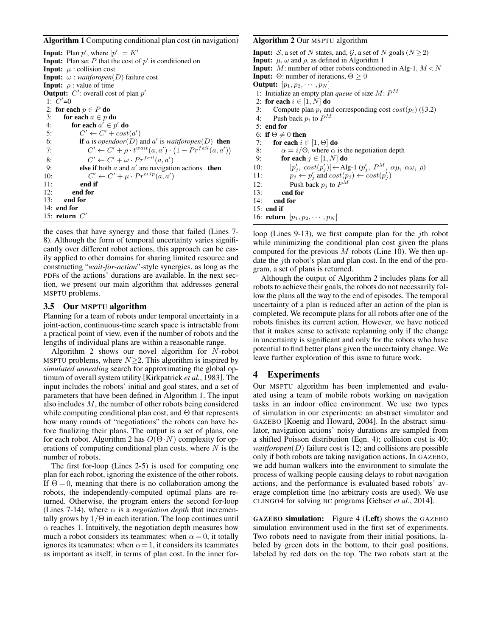Algorithm 1 Computing conditional plan cost (in navigation)

**Input:** Plan  $p'$ , where  $|p'| = K'$ **Input:** Plan set P that the cost of  $p'$  is conditioned on **Input:**  $\mu$  : collision cost **Input:**  $\omega$  : *waitforopen*(*D*) failure cost **Input:**  $\rho$  : value of time **Output:**  $C'$ : overall cost of plan  $p'$ 1:  $C'=0$ 2: for each  $p \in P$  do 3: for each  $a \in p$  do 4: for each  $a^{\prime} \in p'$  do 5:  $C' \leftarrow C' + cost(a')$ 6: **if** a is *opendoor* $(D)$  and a' is *waitforopen* $(D)$  then 7:  $C' \leftarrow C' + \rho \cdot t^{wait}(a, a') \cdot (1 - Pr^{fail}(a, a'))$ 8:  $C' \leftarrow C' + \omega \cdot Pr^{fail}(a, a')$ 9: **else if** both a and a' are navigation actions **then**  $10:$  $\gamma' \leftarrow C' + \mu \cdot Pr^{ovlp}(a, a')$ 11: end if 12: end for 13: end for 14: end for 15: return  $C'$ 

the cases that have synergy and those that failed (Lines 7- 8). Although the form of temporal uncertainty varies significantly over different robot actions, this approach can be easily applied to other domains for sharing limited resource and constructing "*wait-for-action*"-style synergies, as long as the PDFs of the actions' durations are available. In the next section, we present our main algorithm that addresses general MSPTU problems.

#### 3.5 Our MSPTU algorithm

Planning for a team of robots under temporal uncertainty in a joint-action, continuous-time search space is intractable from a practical point of view, even if the number of robots and the lengths of individual plans are within a reasonable range.

Algorithm 2 shows our novel algorithm for N-robot MSPTU problems, where  $N \geq 2$ . This algorithm is inspired by *simulated annealing* search for approximating the global optimum of overall system utility [Kirkpatrick *et al.*, 1983]. The input includes the robots' initial and goal states, and a set of parameters that have been defined in Algorithm 1. The input also includes M, the number of other robots being considered while computing conditional plan cost, and  $\Theta$  that represents how many rounds of "negotiations" the robots can have before finalizing their plans. The output is a set of plans, one for each robot. Algorithm 2 has  $O(\Theta \cdot N)$  complexity for operations of computing conditional plan costs, where  $N$  is the number of robots.

The first for-loop (Lines 2-5) is used for computing one plan for each robot, ignoring the existence of the other robots. If  $\Theta = 0$ , meaning that there is no collaboration among the robots, the independently-computed optimal plans are returned. Otherwise, the program enters the second for-loop (Lines 7-14), where  $\alpha$  is a *negotiation depth* that incrementally grows by  $1/\Theta$  in each iteration. The loop continues until  $\alpha$  reaches 1. Intuitively, the negotiation depth measures how much a robot considers its teammates: when  $\alpha = 0$ , it totally ignores its teammates; when  $\alpha = 1$ , it considers its teammates as important as itself, in terms of plan cost. In the inner for-

### Algorithm 2 Our MSPTU algorithm

**Input:** S, a set of N states, and, G, a set of N goals ( $N \ge 2$ ) **Input:**  $\mu$ ,  $\omega$  and  $\rho$ , as defined in Algorithm 1 **Input:** M: number of other robots conditioned in Alg-1,  $M < N$ **Input:** Θ: number of iterations,  $\Theta \geq 0$ **Output:**  $[p_1, p_2, \cdots, p_N]$ 1: Initialize an empty plan *queue* of size  $M: P^M$ 2: for each  $i \in [1, N]$  do 3: Compute plan  $p_i$  and corresponding cost  $cost(p_i)$  (§3.2) 4: Push back  $p_i$  to  $P^M$ 5: end for 6: if  $\Theta \neq 0$  then 7: for each  $i \in [1, \Theta]$  do 8:  $\alpha = i/\Theta$ , where  $\alpha$  is the negotiation depth 9: for each  $j \in [1, N]$  do  $10:$  $\mathcal{L}_j$ ,  $cost(p'_j] \leftarrow$ Alg-1  $(p'_j, P^M, \alpha \mu, \alpha \omega, \rho)$ 11:  $\overrightarrow{p_j} \leftarrow \overrightarrow{p'_j}$  and  $cost(p_j) \leftarrow cost(p'_j)$ 12: Push back  $p_j$  to  $P^M$ 13: end for 14: end for  $15:$  end if

16: **return**  $[p_1, p_2, \cdots, p_N]$ 

loop (Lines 9-13), we first compute plan for the jth robot while minimizing the conditional plan cost given the plans computed for the previous  $M$  robots (Line 10). We then update the jth robot's plan and plan cost. In the end of the program, a set of plans is returned.

Although the output of Algorithm 2 includes plans for all robots to achieve their goals, the robots do not necessarily follow the plans all the way to the end of episodes. The temporal uncertainty of a plan is reduced after an action of the plan is completed. We recompute plans for all robots after one of the robots finishes its current action. However, we have noticed that it makes sense to activate replanning only if the change in uncertainty is significant and only for the robots who have potential to find better plans given the uncertainty change. We leave further exploration of this issue to future work.

### 4 Experiments

Our MSPTU algorithm has been implemented and evaluated using a team of mobile robots working on navigation tasks in an indoor office environment. We use two types of simulation in our experiments: an abstract simulator and GAZEBO [Koenig and Howard, 2004]. In the abstract simulator, navigation actions' noisy durations are sampled from a shifted Poisson distribution (Eqn. 4); collision cost is 40; *waitforopen* $(D)$  failure cost is 12; and collisions are possible only if both robots are taking navigation actions. In GAZEBO, we add human walkers into the environment to simulate the process of walking people causing delays to robot navigation actions, and the performance is evaluated based robots' average completion time (no arbitrary costs are used). We use CLINGO4 for solving BC programs [Gebser *et al.*, 2014].

GAZEBO simulation: Figure 4 (Left) shows the GAZEBO simulation environment used in the first set of experiments. Two robots need to navigate from their initial positions, labeled by green dots in the bottom, to their goal positions, labeled by red dots on the top. The two robots start at the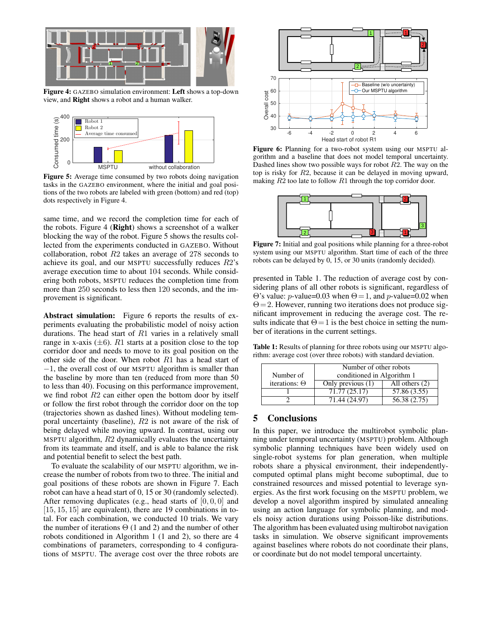

Figure 4: GAZEBO simulation environment: Left shows a top-down view, and Right shows a robot and a human walker.



Figure 5: Average time consumed by two robots doing navigation tasks in the GAZEBO environment, where the initial and goal positions of the two robots are labeled with green (bottom) and red (top) dots respectively in Figure 4.

same time, and we record the completion time for each of the robots. Figure 4 (Right) shows a screenshot of a walker blocking the way of the robot. Figure 5 shows the results collected from the experiments conducted in GAZEBO. Without collaboration, robot R2 takes an average of 278 seconds to achieve its goal, and our MSPTU successfully reduces R2's average execution time to about 104 seconds. While considering both robots, MSPTU reduces the completion time from more than 250 seconds to less then 120 seconds, and the improvement is significant.

Abstract simulation: Figure 6 reports the results of experiments evaluating the probabilistic model of noisy action durations. The head start of R1 varies in a relatively small range in x-axis  $(\pm 6)$ . R1 starts at a position close to the top corridor door and needs to move to its goal position on the other side of the door. When robot  $R1$  has a head start of −1, the overall cost of our MSPTU algorithm is smaller than the baseline by more than ten (reduced from more than 50 to less than 40). Focusing on this performance improvement, we find robot  $R2$  can either open the bottom door by itself or follow the first robot through the corridor door on the top (trajectories shown as dashed lines). Without modeling temporal uncertainty (baseline), R2 is not aware of the risk of being delayed while moving upward. In contrast, using our MSPTU algorithm,  $R2$  dynamically evaluates the uncertainty from its teammate and itself, and is able to balance the risk and potential benefit to select the best path.

To evaluate the scalability of our MSPTU algorithm, we increase the number of robots from two to three. The initial and goal positions of these robots are shown in Figure 7. Each robot can have a head start of 0, 15 or 30 (randomly selected). After removing duplicates (e.g., head starts of  $[0, 0, 0]$  and  $[15, 15, 15]$  are equivalent), there are 19 combinations in total. For each combination, we conducted 10 trials. We vary the number of iterations  $\Theta$  (1 and 2) and the number of other robots conditioned in Algorithm 1 (1 and 2), so there are 4 combinations of parameters, corresponding to 4 configurations of MSPTU. The average cost over the three robots are



Figure 6: Planning for a two-robot system using our MSPTU algorithm and a baseline that does not model temporal uncertainty. Dashed lines show two possible ways for robot  $R2$ . The way on the top is risky for R2, because it can be delayed in moving upward, making  $R2$  too late to follow  $R1$  through the top corridor door.



Figure 7: Initial and goal positions while planning for a three-robot system using our MSPTU algorithm. Start time of each of the three robots can be delayed by 0, 15, or 30 units (randomly decided).

presented in Table 1. The reduction of average cost by considering plans of all other robots is significant, regardless of Θ's value: *p*-value=0.03 when  $Θ = 1$ , and *p*-value=0.02 when  $\Theta = 2$ . However, running two iterations does not produce significant improvement in reducing the average cost. The results indicate that  $\Theta = 1$  is the best choice in setting the number of iterations in the current settings.

Table 1: Results of planning for three robots using our MSPTU algorithm: average cost (over three robots) with standard deviation.

|                      | Number of other robots     |                  |
|----------------------|----------------------------|------------------|
| Number of            | conditioned in Algorithm 1 |                  |
| iterations: $\Theta$ | Only previous (1)          | All others $(2)$ |
|                      | 71.77 (25.17)              | 57.86 (3.55)     |
|                      | 71.44 (24.97)              | 56.38 (2.75)     |

### 5 Conclusions

In this paper, we introduce the multirobot symbolic planning under temporal uncertainty (MSPTU) problem. Although symbolic planning techniques have been widely used on single-robot systems for plan generation, when multiple robots share a physical environment, their independentlycomputed optimal plans might become suboptimal, due to constrained resources and missed potential to leverage synergies. As the first work focusing on the MSPTU problem, we develop a novel algorithm inspired by simulated annealing using an action language for symbolic planning, and models noisy action durations using Poisson-like distributions. The algorithm has been evaluated using multirobot navigation tasks in simulation. We observe significant improvements against baselines where robots do not coordinate their plans, or coordinate but do not model temporal uncertainty.